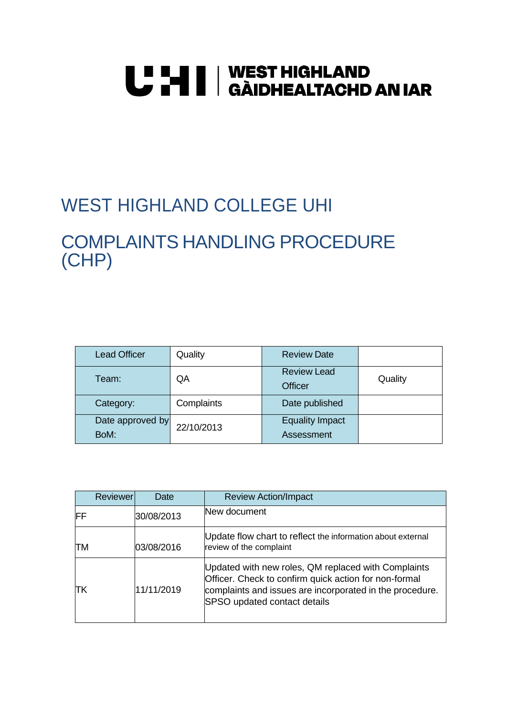# **U "HI | WEST HIGHLAND<br>U THI | GÀIDHEALTACHD AN IAR**

# WEST HIGHLAND COLLEGE UHI

# COMPLAINTS HANDLING PROCEDURE (CHP)

| <b>Lead Officer</b>      | Quality    | <b>Review Date</b>                   |         |
|--------------------------|------------|--------------------------------------|---------|
| Team:                    | QA         | <b>Review Lead</b><br><b>Officer</b> | Quality |
| Category:                | Complaints | Date published                       |         |
| Date approved by<br>BoM: | 22/10/2013 | <b>Equality Impact</b><br>Assessment |         |

| Reviewer | Date       | <b>Review Action/Impact</b>                                                                                                                                                                                     |
|----------|------------|-----------------------------------------------------------------------------------------------------------------------------------------------------------------------------------------------------------------|
| IFF      | 30/08/2013 | New document                                                                                                                                                                                                    |
| ПM       | 03/08/2016 | Update flow chart to reflect the information about external<br>review of the complaint                                                                                                                          |
| ΙTΚ      | 11/11/2019 | Updated with new roles, QM replaced with Complaints<br>Officer. Check to confirm quick action for non-formal<br>complaints and issues are incorporated in the procedure.<br><b>SPSO</b> updated contact details |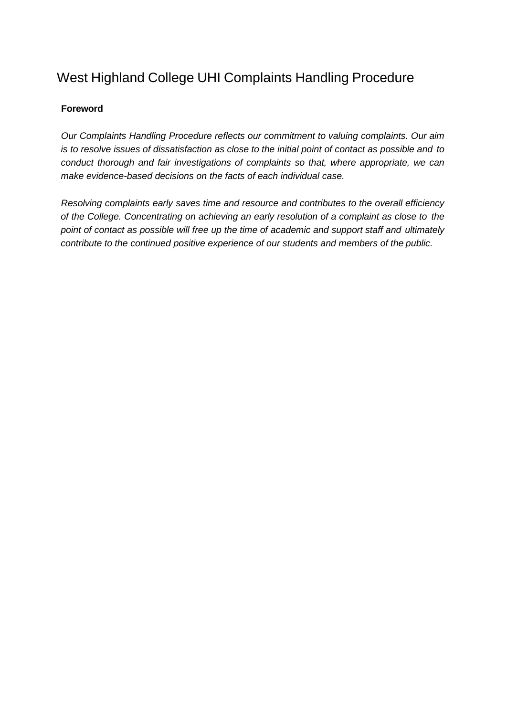# <span id="page-1-0"></span>West Highland College UHI Complaints Handling Procedure

#### **Foreword**

*Our Complaints Handling Procedure reflects our commitment to valuing complaints. Our aim is to resolve issues of dissatisfaction as close to the initial point of contact as possible and to conduct thorough and fair investigations of complaints so that, where appropriate, we can make evidence-based decisions on the facts of each individual case.*

*Resolving complaints early saves time and resource and contributes to the overall efficiency of the College. Concentrating on achieving an early resolution of a complaint as close to the point of contact as possible will free up the time of academic and support staff and ultimately contribute to the continued positive experience of our students and members of the public.*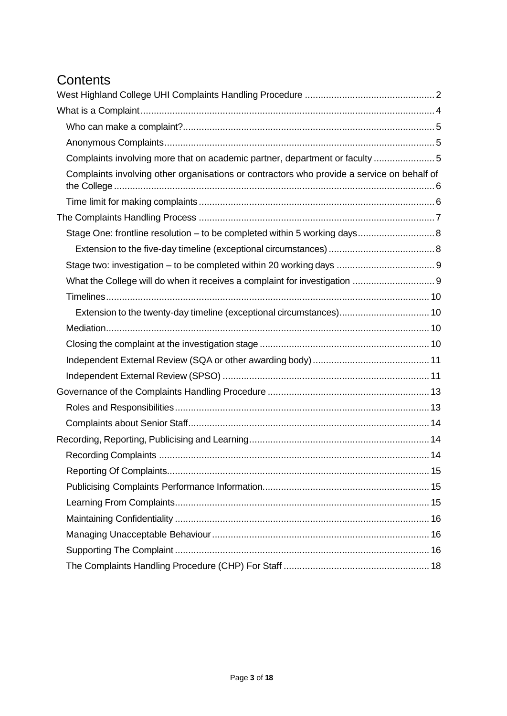# **Contents**

| Complaints involving more that on academic partner, department or faculty 5                |  |
|--------------------------------------------------------------------------------------------|--|
| Complaints involving other organisations or contractors who provide a service on behalf of |  |
|                                                                                            |  |
|                                                                                            |  |
| Stage One: frontline resolution - to be completed within 5 working days 8                  |  |
|                                                                                            |  |
|                                                                                            |  |
| What the College will do when it receives a complaint for investigation  9                 |  |
|                                                                                            |  |
|                                                                                            |  |
|                                                                                            |  |
|                                                                                            |  |
|                                                                                            |  |
|                                                                                            |  |
|                                                                                            |  |
|                                                                                            |  |
|                                                                                            |  |
|                                                                                            |  |
|                                                                                            |  |
|                                                                                            |  |
|                                                                                            |  |
|                                                                                            |  |
|                                                                                            |  |
|                                                                                            |  |
|                                                                                            |  |
|                                                                                            |  |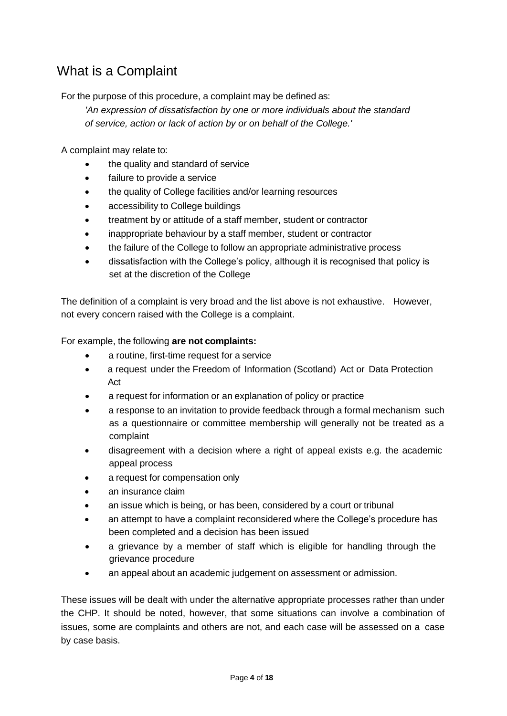# <span id="page-3-0"></span>What is a Complaint

For the purpose of this procedure, a complaint may be defined as:

*'An expression of dissatisfaction by one or more individuals about the standard of service, action or lack of action by or on behalf of the College.'*

A complaint may relate to:

- the quality and standard of service
- failure to provide a service
- the quality of College facilities and/or learning resources
- accessibility to College buildings
- treatment by or attitude of a staff member, student or contractor
- inappropriate behaviour by a staff member, student or contractor
- the failure of the College to follow an appropriate administrative process
- dissatisfaction with the College's policy, although it is recognised that policy is set at the discretion of the College

The definition of a complaint is very broad and the list above is not exhaustive. However, not every concern raised with the College is a complaint.

For example, the following **are not complaints:**

- a routine, first-time request for a service
- a request under the Freedom of Information (Scotland) Act or Data Protection Act
- a request for information or an explanation of policy or practice
- a response to an invitation to provide feedback through a formal mechanism such as a questionnaire or committee membership will generally not be treated as a complaint
- disagreement with a decision where a right of appeal exists e.g. the academic appeal process
- a request for compensation only
- an insurance claim
- an issue which is being, or has been, considered by a court or tribunal
- an attempt to have a complaint reconsidered where the College's procedure has been completed and a decision has been issued
- a grievance by a member of staff which is eligible for handling through the grievance procedure
- an appeal about an academic judgement on assessment or admission.

These issues will be dealt with under the alternative appropriate processes rather than under the CHP. It should be noted, however, that some situations can involve a combination of issues, some are complaints and others are not, and each case will be assessed on a case by case basis.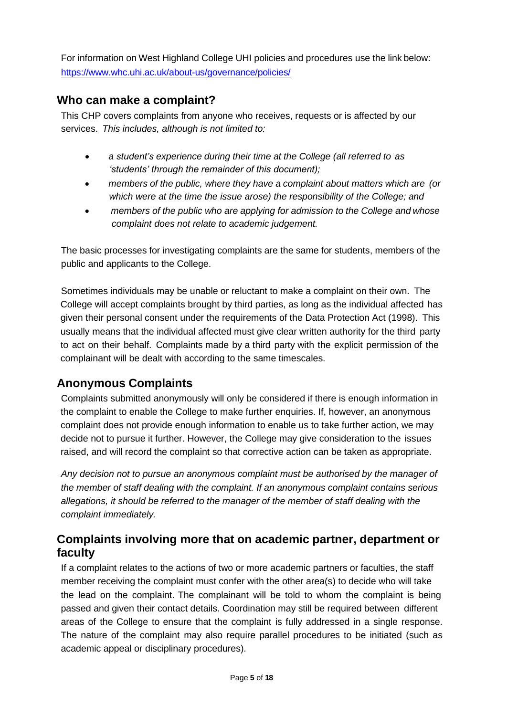For information on West Highland College UHI policies and procedures use the link below: <https://www.whc.uhi.ac.uk/about-us/governance/policies/>

# <span id="page-4-0"></span>**Who can make a complaint?**

This CHP covers complaints from anyone who receives, requests or is affected by our services. *This includes, although is not limited to:*

- *a student's experience during their time at the College (all referred to as 'students' through the remainder of this document);*
- *members of the public, where they have a complaint about matters which are (or which were at the time the issue arose) the responsibility of the College; and*
- *members of the public who are applying for admission to the College and whose complaint does not relate to academic judgement.*

The basic processes for investigating complaints are the same for students, members of the public and applicants to the College.

Sometimes individuals may be unable or reluctant to make a complaint on their own. The College will accept complaints brought by third parties, as long as the individual affected has given their personal consent under the requirements of the Data Protection Act (1998). This usually means that the individual affected must give clear written authority for the third party to act on their behalf. Complaints made by a third party with the explicit permission of the complainant will be dealt with according to the same timescales.

# <span id="page-4-1"></span>**Anonymous Complaints**

Complaints submitted anonymously will only be considered if there is enough information in the complaint to enable the College to make further enquiries. If, however, an anonymous complaint does not provide enough information to enable us to take further action, we may decide not to pursue it further. However, the College may give consideration to the issues raised, and will record the complaint so that corrective action can be taken as appropriate.

*Any decision not to pursue an anonymous complaint must be authorised by the manager of the member of staff dealing with the complaint. If an anonymous complaint contains serious allegations, it should be referred to the manager of the member of staff dealing with the complaint immediately.*

# <span id="page-4-2"></span>**Complaints involving more that on academic partner, department or faculty**

If a complaint relates to the actions of two or more academic partners or faculties, the staff member receiving the complaint must confer with the other area(s) to decide who will take the lead on the complaint. The complainant will be told to whom the complaint is being passed and given their contact details. Coordination may still be required between different areas of the College to ensure that the complaint is fully addressed in a single response. The nature of the complaint may also require parallel procedures to be initiated (such as academic appeal or disciplinary procedures).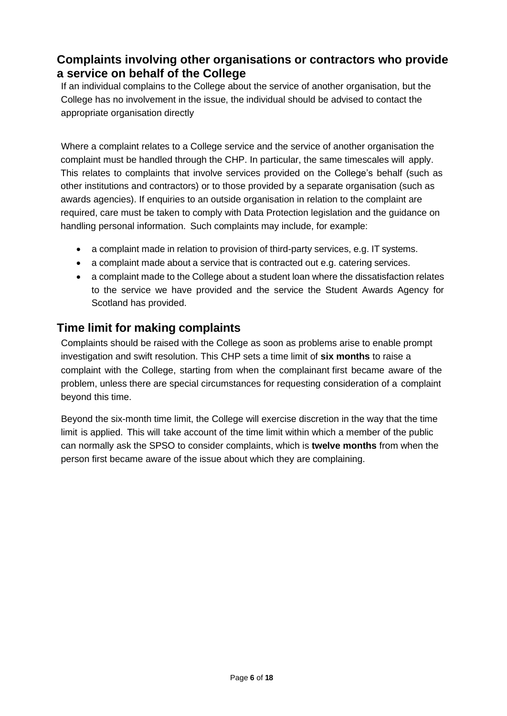# <span id="page-5-0"></span>**Complaints involving other organisations or contractors who provide a service on behalf of the College**

If an individual complains to the College about the service of another organisation, but the College has no involvement in the issue, the individual should be advised to contact the appropriate organisation directly

Where a complaint relates to a College service and the service of another organisation the complaint must be handled through the CHP. In particular, the same timescales will apply. This relates to complaints that involve services provided on the College's behalf (such as other institutions and contractors) or to those provided by a separate organisation (such as awards agencies). If enquiries to an outside organisation in relation to the complaint are required, care must be taken to comply with Data Protection legislation and the guidance on handling personal information. Such complaints may include, for example:

- a complaint made in relation to provision of third-party services, e.g. IT systems.
- a complaint made about a service that is contracted out e.g. catering services.
- a complaint made to the College about a student loan where the dissatisfaction relates to the service we have provided and the service the Student Awards Agency for Scotland has provided.

# <span id="page-5-1"></span>**Time limit for making complaints**

Complaints should be raised with the College as soon as problems arise to enable prompt investigation and swift resolution. This CHP sets a time limit of **six months** to raise a complaint with the College, starting from when the complainant first became aware of the problem, unless there are special circumstances for requesting consideration of a complaint beyond this time.

Beyond the six-month time limit, the College will exercise discretion in the way that the time limit is applied. This will take account of the time limit within which a member of the public can normally ask the SPSO to consider complaints, which is **twelve months** from when the person first became aware of the issue about which they are complaining.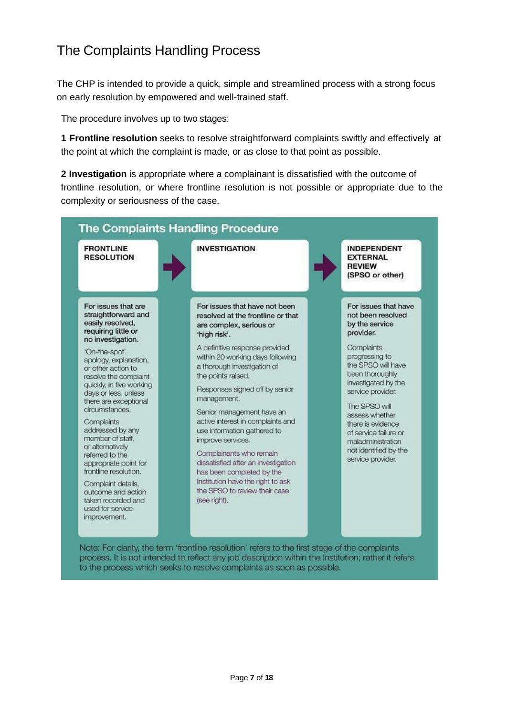# <span id="page-6-0"></span>The Complaints Handling Process

The CHP is intended to provide a quick, simple and streamlined process with a strong focus on early resolution by empowered and well-trained staff.

The procedure involves up to two stages:

**1 Frontline resolution** seeks to resolve straightforward complaints swiftly and effectively at the point at which the complaint is made, or as close to that point as possible.

**2 Investigation** is appropriate where a complainant is dissatisfied with the outcome of frontline resolution, or where frontline resolution is not possible or appropriate due to the complexity or seriousness of the case.

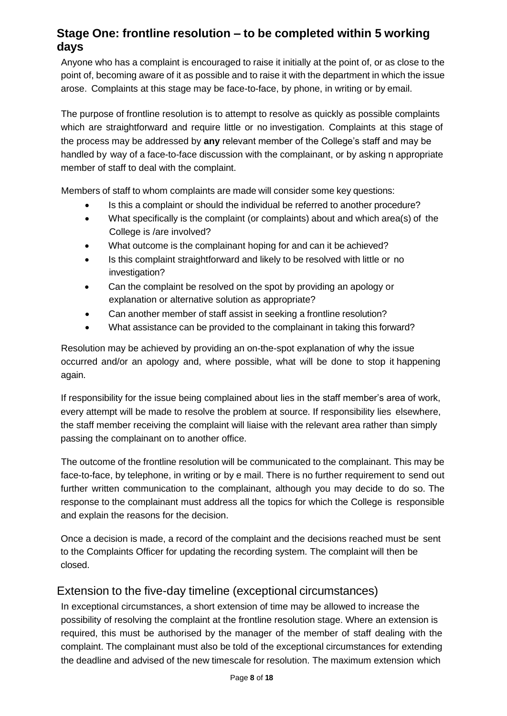# <span id="page-7-0"></span>**Stage One: frontline resolution – to be completed within 5 working days**

Anyone who has a complaint is encouraged to raise it initially at the point of, or as close to the point of, becoming aware of it as possible and to raise it with the department in which the issue arose. Complaints at this stage may be face-to-face, by phone, in writing or by email.

The purpose of frontline resolution is to attempt to resolve as quickly as possible complaints which are straightforward and require little or no investigation. Complaints at this stage of the process may be addressed by **any** relevant member of the College's staff and may be handled by way of a face-to-face discussion with the complainant, or by asking n appropriate member of staff to deal with the complaint.

Members of staff to whom complaints are made will consider some key questions:

- Is this a complaint or should the individual be referred to another procedure?
- What specifically is the complaint (or complaints) about and which area(s) of the College is /are involved?
- What outcome is the complainant hoping for and can it be achieved?
- Is this complaint straightforward and likely to be resolved with little or no investigation?
- Can the complaint be resolved on the spot by providing an apology or explanation or alternative solution as appropriate?
- Can another member of staff assist in seeking a frontline resolution?
- What assistance can be provided to the complainant in taking this forward?

Resolution may be achieved by providing an on-the-spot explanation of why the issue occurred and/or an apology and, where possible, what will be done to stop it happening again.

If responsibility for the issue being complained about lies in the staff member's area of work, every attempt will be made to resolve the problem at source. If responsibility lies elsewhere, the staff member receiving the complaint will liaise with the relevant area rather than simply passing the complainant on to another office.

The outcome of the frontline resolution will be communicated to the complainant. This may be face-to-face, by telephone, in writing or by e mail. There is no further requirement to send out further written communication to the complainant, although you may decide to do so. The response to the complainant must address all the topics for which the College is responsible and explain the reasons for the decision.

Once a decision is made, a record of the complaint and the decisions reached must be sent to the Complaints Officer for updating the recording system. The complaint will then be closed.

# <span id="page-7-1"></span>Extension to the five-day timeline (exceptional circumstances)

In exceptional circumstances, a short extension of time may be allowed to increase the possibility of resolving the complaint at the frontline resolution stage. Where an extension is required, this must be authorised by the manager of the member of staff dealing with the complaint. The complainant must also be told of the exceptional circumstances for extending the deadline and advised of the new timescale for resolution. The maximum extension which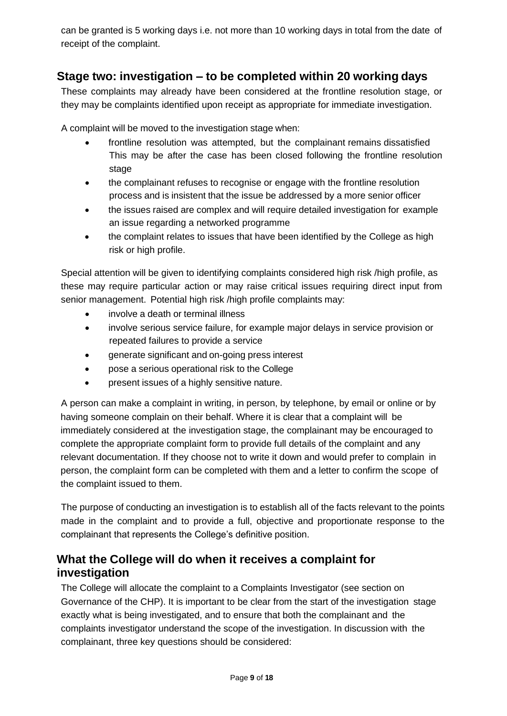can be granted is 5 working days i.e. not more than 10 working days in total from the date of receipt of the complaint.

# <span id="page-8-0"></span>**Stage two: investigation – to be completed within 20 working days**

These complaints may already have been considered at the frontline resolution stage, or they may be complaints identified upon receipt as appropriate for immediate investigation.

A complaint will be moved to the investigation stage when:

- frontline resolution was attempted, but the complainant remains dissatisfied This may be after the case has been closed following the frontline resolution stage
- the complainant refuses to recognise or engage with the frontline resolution process and is insistent that the issue be addressed by a more senior officer
- the issues raised are complex and will require detailed investigation for example an issue regarding a networked programme
- the complaint relates to issues that have been identified by the College as high risk or high profile.

Special attention will be given to identifying complaints considered high risk /high profile, as these may require particular action or may raise critical issues requiring direct input from senior management. Potential high risk /high profile complaints may:

- involve a death or terminal illness
- involve serious service failure, for example major delays in service provision or repeated failures to provide a service
- generate significant and on-going press interest
- pose a serious operational risk to the College
- present issues of a highly sensitive nature.

A person can make a complaint in writing, in person, by telephone, by email or online or by having someone complain on their behalf. Where it is clear that a complaint will be immediately considered at the investigation stage, the complainant may be encouraged to complete the appropriate complaint form to provide full details of the complaint and any relevant documentation. If they choose not to write it down and would prefer to complain in person, the complaint form can be completed with them and a letter to confirm the scope of the complaint issued to them.

The purpose of conducting an investigation is to establish all of the facts relevant to the points made in the complaint and to provide a full, objective and proportionate response to the complainant that represents the College's definitive position.

# <span id="page-8-1"></span>**What the College will do when it receives a complaint for investigation**

The College will allocate the complaint to a Complaints Investigator (see section on Governance of the CHP). It is important to be clear from the start of the investigation stage exactly what is being investigated, and to ensure that both the complainant and the complaints investigator understand the scope of the investigation. In discussion with the complainant, three key questions should be considered: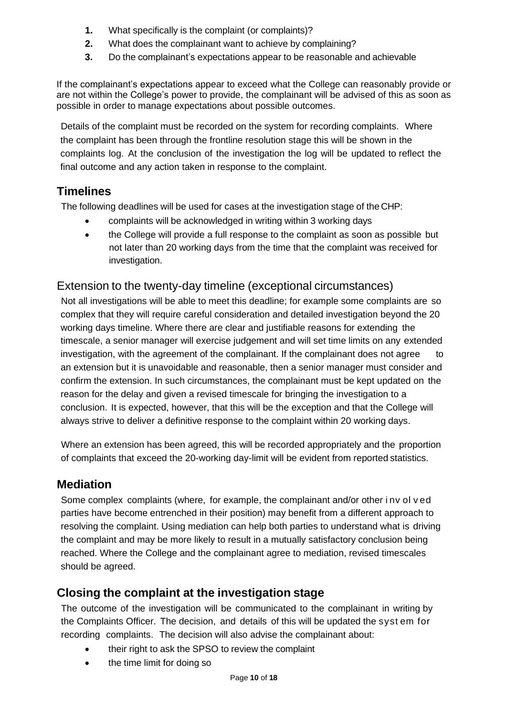- **1.** What specifically is the complaint (or complaints)?
- **2.** What does the complainant want to achieve by complaining?
- **3.** Do the complainant's expectations appear to be reasonable and achievable

If the complainant's expectations appear to exceed what the College can reasonably provide or are not within the College's power to provide, the complainant will be advised of this as soon as possible in order to manage expectations about possible outcomes.

Details of the complaint must be recorded on the system for recording complaints. Where the complaint has been through the frontline resolution stage this will be shown in the complaints log. At the conclusion of the investigation the log will be updated to reflect the final outcome and any action taken in response to the complaint.

# <span id="page-9-0"></span>**Timelines**

The following deadlines will be used for cases at the investigation stage of the CHP:

- complaints will be acknowledged in writing within 3 working days
- the College will provide a full response to the complaint as soon as possible but not later than 20 working days from the time that the complaint was received for investigation.

# <span id="page-9-1"></span>Extension to the twenty-day timeline (exceptional circumstances)

Not all investigations will be able to meet this deadline; for example some complaints are so complex that they will require careful consideration and detailed investigation beyond the 20 working days timeline. Where there are clear and justifiable reasons for extending the timescale, a senior manager will exercise judgement and will set time limits on any extended investigation, with the agreement of the complainant. If the complainant does not agree to an extension but it is unavoidable and reasonable, then a senior manager must consider and confirm the extension. In such circumstances, the complainant must be kept updated on the reason for the delay and given a revised timescale for bringing the investigation to a conclusion. It is expected, however, that this will be the exception and that the College will always strive to deliver a definitive response to the complaint within 20 working days.

Where an extension has been agreed, this will be recorded appropriately and the proportion of complaints that exceed the 20-working day-limit will be evident from reported statistics.

# <span id="page-9-2"></span>**Mediation**

Some complex complaints (where, for example, the complainant and/or other i nv ol v ed parties have become entrenched in their position) may benefit from a different approach to resolving the complaint. Using mediation can help both parties to understand what is driving the complaint and may be more likely to result in a mutually satisfactory conclusion being reached. Where the College and the complainant agree to mediation, revised timescales should be agreed.

# <span id="page-9-3"></span>**Closing the complaint at the investigation stage**

The outcome of the investigation will be communicated to the complainant in writing by the Complaints Officer. The decision, and details of this will be updated the syst em for recording complaints. The decision will also advise the complainant about:

- their right to ask the SPSO to review the complaint
- the time limit for doing so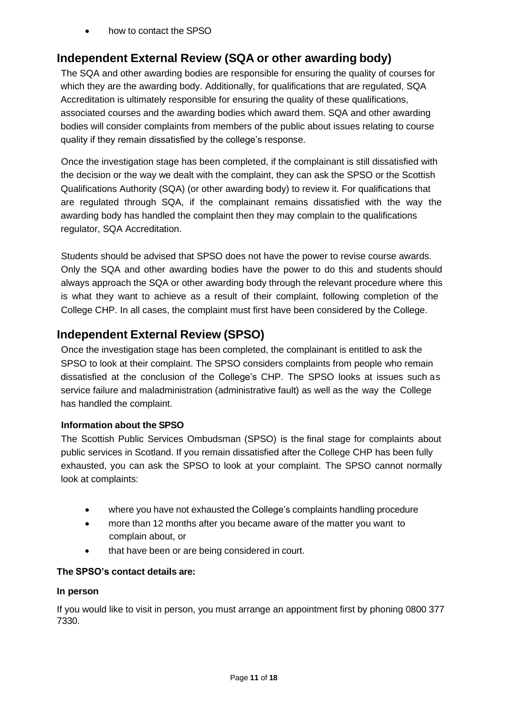• how to contact the SPSO

# <span id="page-10-0"></span>**Independent External Review (SQA or other awarding body)**

The SQA and other awarding bodies are responsible for ensuring the quality of courses for which they are the awarding body. Additionally, for qualifications that are regulated, SQA Accreditation is ultimately responsible for ensuring the quality of these qualifications, associated courses and the awarding bodies which award them. SQA and other awarding bodies will consider complaints from members of the public about issues relating to course quality if they remain dissatisfied by the college's response.

Once the investigation stage has been completed, if the complainant is still dissatisfied with the decision or the way we dealt with the complaint, they can ask the SPSO or the Scottish Qualifications Authority (SQA) (or other awarding body) to review it. For qualifications that are regulated through SQA, if the complainant remains dissatisfied with the way the awarding body has handled the complaint then they may complain to the qualifications regulator, SQA Accreditation.

Students should be advised that SPSO does not have the power to revise course awards. Only the SQA and other awarding bodies have the power to do this and students should always approach the SQA or other awarding body through the relevant procedure where this is what they want to achieve as a result of their complaint, following completion of the College CHP. In all cases, the complaint must first have been considered by the College.

# <span id="page-10-1"></span>**Independent External Review (SPSO)**

Once the investigation stage has been completed, the complainant is entitled to ask the SPSO to look at their complaint. The SPSO considers complaints from people who remain dissatisfied at the conclusion of the College's CHP. The SPSO looks at issues such as service failure and maladministration (administrative fault) as well as the way the College has handled the complaint.

#### **Information about the SPSO**

The Scottish Public Services Ombudsman (SPSO) is the final stage for complaints about public services in Scotland. If you remain dissatisfied after the College CHP has been fully exhausted, you can ask the SPSO to look at your complaint. The SPSO cannot normally look at complaints:

- where you have not exhausted the College's complaints handling procedure
- more than 12 months after you became aware of the matter you want to complain about, or
- that have been or are being considered in court.

#### **The SPSO's contact details are:**

#### **In person**

If you would like to visit in person, you must arrange an appointment first by phoning 0800 377 7330.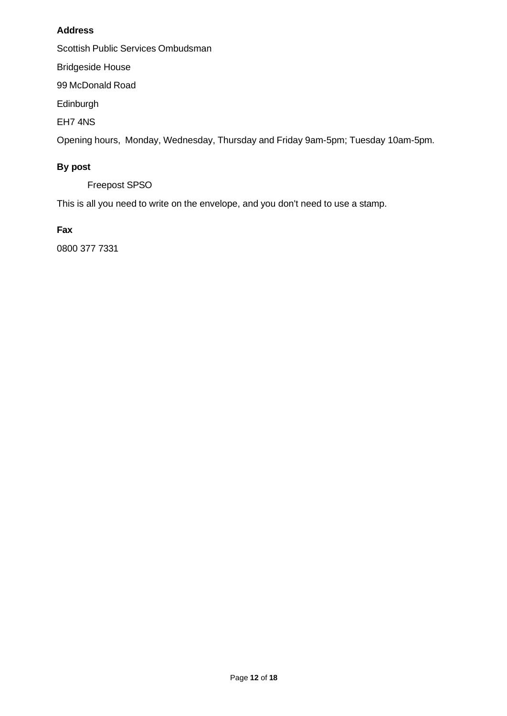#### **Address**

Scottish Public Services Ombudsman

Bridgeside House

99 McDonald Road

Edinburgh

EH7 4NS

Opening hours, Monday, Wednesday, Thursday and Friday 9am-5pm; Tuesday 10am-5pm.

### **By post**

Freepost SPSO

This is all you need to write on the envelope, and you don't need to use a stamp.

#### **Fax**

0800 377 7331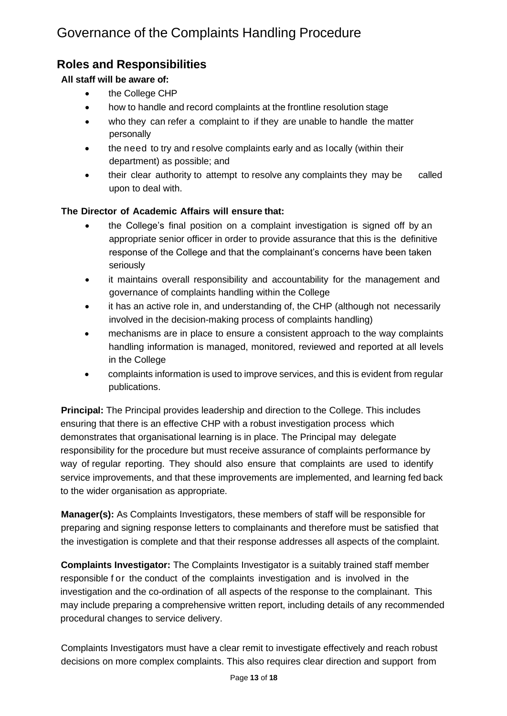# <span id="page-12-1"></span><span id="page-12-0"></span>**Roles and Responsibilities**

#### **All staff will be aware of:**

- the College CHP
- how to handle and record complaints at the frontline resolution stage
- who they can refer a complaint to if they are unable to handle the matter personally
- the need to try and resolve complaints early and as locally (within their department) as possible; and
- their clear authority to attempt to resolve any complaints they may be called upon to deal with.

#### **The Director of Academic Affairs will ensure that:**

- the College's final position on a complaint investigation is signed off by an appropriate senior officer in order to provide assurance that this is the definitive response of the College and that the complainant's concerns have been taken seriously
- it maintains overall responsibility and accountability for the management and governance of complaints handling within the College
- it has an active role in, and understanding of, the CHP (although not necessarily involved in the decision-making process of complaints handling)
- mechanisms are in place to ensure a consistent approach to the way complaints handling information is managed, monitored, reviewed and reported at all levels in the College
- complaints information is used to improve services, and this is evident from regular publications.

**Principal:** The Principal provides leadership and direction to the College. This includes ensuring that there is an effective CHP with a robust investigation process which demonstrates that organisational learning is in place. The Principal may delegate responsibility for the procedure but must receive assurance of complaints performance by way of regular reporting. They should also ensure that complaints are used to identify service improvements, and that these improvements are implemented, and learning fed back to the wider organisation as appropriate.

**Manager(s):** As Complaints Investigators, these members of staff will be responsible for preparing and signing response letters to complainants and therefore must be satisfied that the investigation is complete and that their response addresses all aspects of the complaint.

**Complaints Investigator:** The Complaints Investigator is a suitably trained staff member responsible f or the conduct of the complaints investigation and is involved in the investigation and the co-ordination of all aspects of the response to the complainant. This may include preparing a comprehensive written report, including details of any recommended procedural changes to service delivery.

Complaints Investigators must have a clear remit to investigate effectively and reach robust decisions on more complex complaints. This also requires clear direction and support from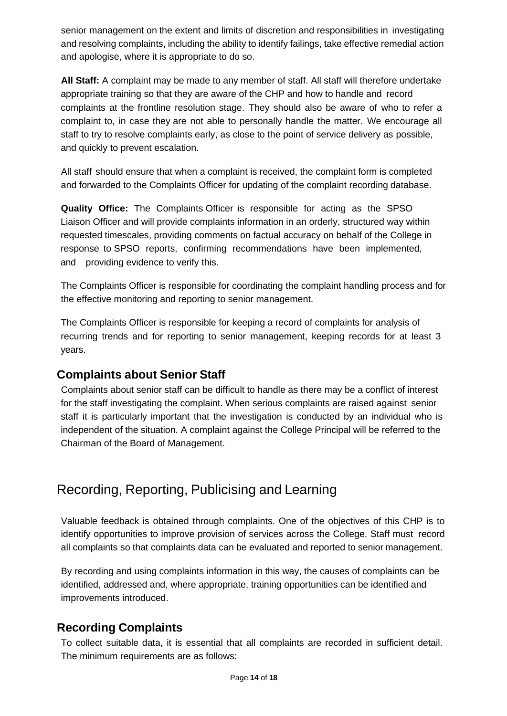senior management on the extent and limits of discretion and responsibilities in investigating and resolving complaints, including the ability to identify failings, take effective remedial action and apologise, where it is appropriate to do so.

**All Staff:** A complaint may be made to any member of staff. All staff will therefore undertake appropriate training so that they are aware of the CHP and how to handle and record complaints at the frontline resolution stage. They should also be aware of who to refer a complaint to, in case they are not able to personally handle the matter. We encourage all staff to try to resolve complaints early, as close to the point of service delivery as possible, and quickly to prevent escalation.

All staff should ensure that when a complaint is received, the complaint form is completed and forwarded to the Complaints Officer for updating of the complaint recording database.

**Quality Office:** The Complaints Officer is responsible for acting as the SPSO Liaison Officer and will provide complaints information in an orderly, structured way within requested timescales, providing comments on factual accuracy on behalf of the College in response to SPSO reports, confirming recommendations have been implemented, and providing evidence to verify this.

The Complaints Officer is responsible for coordinating the complaint handling process and for the effective monitoring and reporting to senior management.

The Complaints Officer is responsible for keeping a record of complaints for analysis of recurring trends and for reporting to senior management, keeping records for at least 3 years.

# <span id="page-13-0"></span>**Complaints about Senior Staff**

Complaints about senior staff can be difficult to handle as there may be a conflict of interest for the staff investigating the complaint. When serious complaints are raised against senior staff it is particularly important that the investigation is conducted by an individual who is independent of the situation. A complaint against the College Principal will be referred to the Chairman of the Board of Management.

# <span id="page-13-1"></span>Recording, Reporting, Publicising and Learning

Valuable feedback is obtained through complaints. One of the objectives of this CHP is to identify opportunities to improve provision of services across the College. Staff must record all complaints so that complaints data can be evaluated and reported to senior management.

By recording and using complaints information in this way, the causes of complaints can be identified, addressed and, where appropriate, training opportunities can be identified and improvements introduced.

# <span id="page-13-2"></span>**Recording Complaints**

To collect suitable data, it is essential that all complaints are recorded in sufficient detail. The minimum requirements are as follows: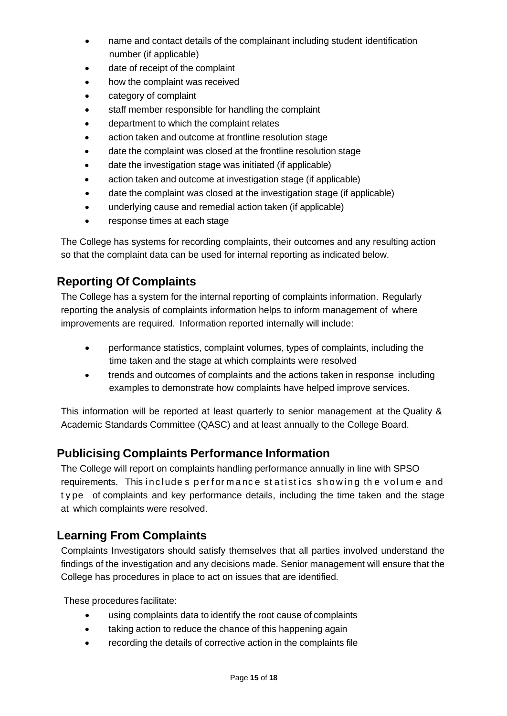- name and contact details of the complainant including student identification number (if applicable)
- date of receipt of the complaint
- how the complaint was received
- category of complaint
- staff member responsible for handling the complaint
- department to which the complaint relates
- action taken and outcome at frontline resolution stage
- date the complaint was closed at the frontline resolution stage
- date the investigation stage was initiated (if applicable)
- action taken and outcome at investigation stage (if applicable)
- date the complaint was closed at the investigation stage (if applicable)
- underlying cause and remedial action taken (if applicable)
- response times at each stage

The College has systems for recording complaints, their outcomes and any resulting action so that the complaint data can be used for internal reporting as indicated below.

# <span id="page-14-0"></span>**Reporting Of Complaints**

The College has a system for the internal reporting of complaints information. Regularly reporting the analysis of complaints information helps to inform management of where improvements are required. Information reported internally will include:

- performance statistics, complaint volumes, types of complaints, including the time taken and the stage at which complaints were resolved
- trends and outcomes of complaints and the actions taken in response including examples to demonstrate how complaints have helped improve services.

This information will be reported at least quarterly to senior management at the Quality & Academic Standards Committee (QASC) and at least annually to the College Board.

# <span id="page-14-1"></span>**Publicising Complaints Performance Information**

The College will report on complaints handling performance annually in line with SPSO requirements. This include s performance statistics showing the volume and t y pe of complaints and key performance details, including the time taken and the stage at which complaints were resolved.

# <span id="page-14-2"></span>**Learning From Complaints**

Complaints Investigators should satisfy themselves that all parties involved understand the findings of the investigation and any decisions made. Senior management will ensure that the College has procedures in place to act on issues that are identified.

These procedures facilitate:

- using complaints data to identify the root cause of complaints
- taking action to reduce the chance of this happening again
- recording the details of corrective action in the complaints file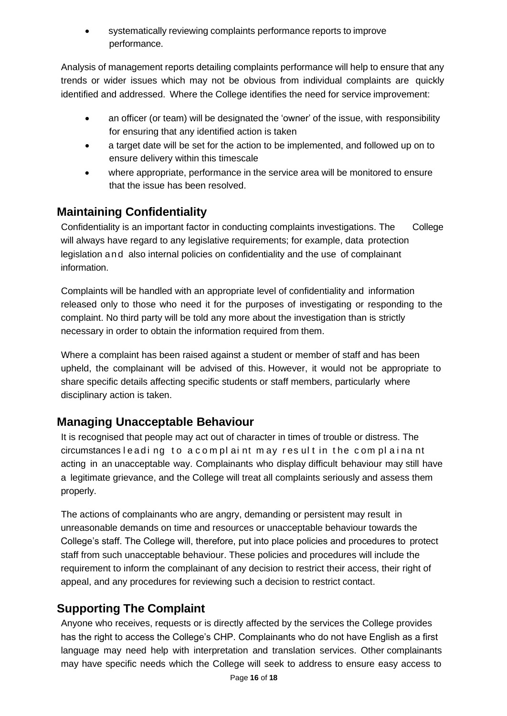systematically reviewing complaints performance reports to improve performance.

Analysis of management reports detailing complaints performance will help to ensure that any trends or wider issues which may not be obvious from individual complaints are quickly identified and addressed. Where the College identifies the need for service improvement:

- an officer (or team) will be designated the 'owner' of the issue, with responsibility for ensuring that any identified action is taken
- a target date will be set for the action to be implemented, and followed up on to ensure delivery within this timescale
- where appropriate, performance in the service area will be monitored to ensure that the issue has been resolved.

# <span id="page-15-0"></span>**Maintaining Confidentiality**

Confidentiality is an important factor in conducting complaints investigations. The College will always have regard to any legislative requirements; for example, data protection legislation and also internal policies on confidentiality and the use of complainant information.

Complaints will be handled with an appropriate level of confidentiality and information released only to those who need it for the purposes of investigating or responding to the complaint. No third party will be told any more about the investigation than is strictly necessary in order to obtain the information required from them.

Where a complaint has been raised against a student or member of staff and has been upheld, the complainant will be advised of this. However, it would not be appropriate to share specific details affecting specific students or staff members, particularly where disciplinary action is taken.

# <span id="page-15-1"></span>**Managing Unacceptable Behaviour**

It is recognised that people may act out of character in times of trouble or distress. The circumstances leading to a complaint may result in the complainant acting in an unacceptable way. Complainants who display difficult behaviour may still have a legitimate grievance, and the College will treat all complaints seriously and assess them properly.

The actions of complainants who are angry, demanding or persistent may result in unreasonable demands on time and resources or unacceptable behaviour towards the College's staff. The College will, therefore, put into place policies and procedures to protect staff from such unacceptable behaviour. These policies and procedures will include the requirement to inform the complainant of any decision to restrict their access, their right of appeal, and any procedures for reviewing such a decision to restrict contact.

# <span id="page-15-2"></span>**Supporting The Complaint**

Anyone who receives, requests or is directly affected by the services the College provides has the right to access the College's CHP. Complainants who do not have English as a first language may need help with interpretation and translation services. Other complainants may have specific needs which the College will seek to address to ensure easy access to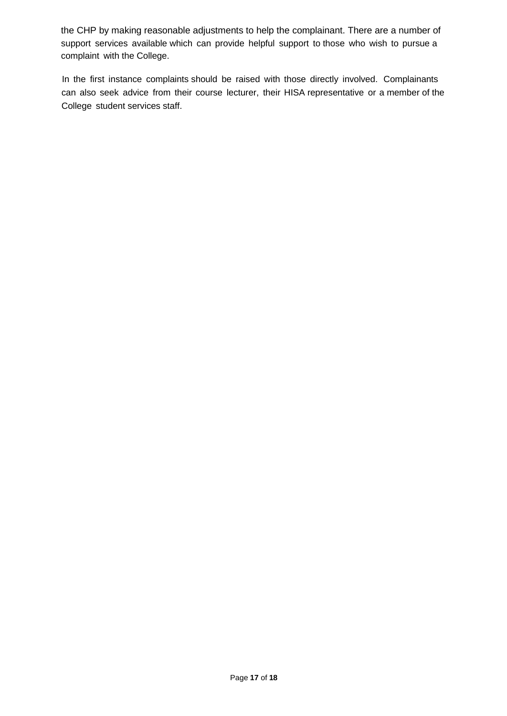the CHP by making reasonable adjustments to help the complainant. There are a number of support services available which can provide helpful support to those who wish to pursue a complaint with the College.

In the first instance complaints should be raised with those directly involved. Complainants can also seek advice from their course lecturer, their HISA representative or a member of the College student services staff.